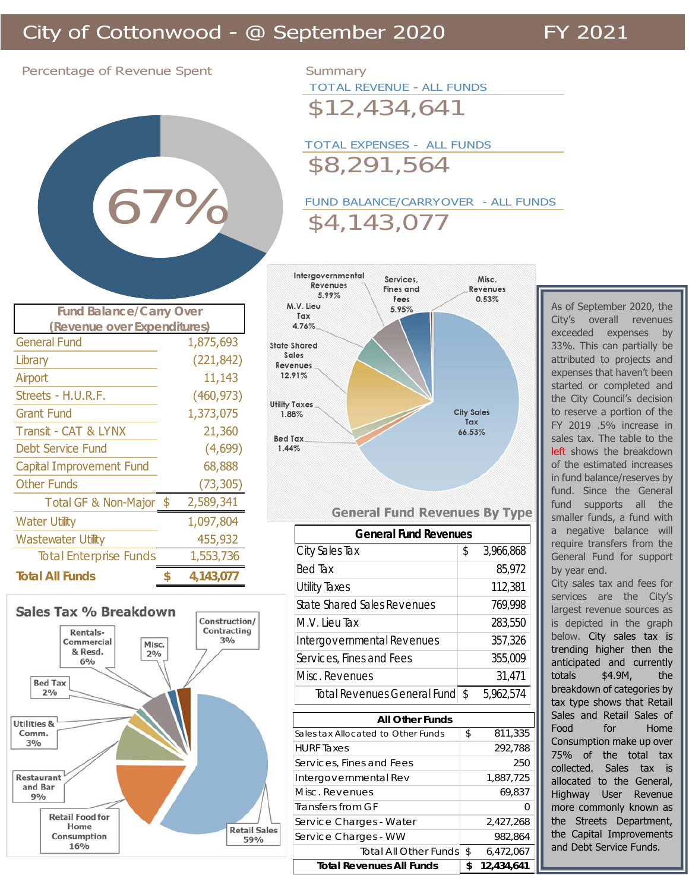Percentage of Revenue Spent Summary



TOTAL REVENUE - ALL FUNDS

\$12,434,641

TOTAL EXPENSES - ALL FUNDS \$8,291,564

FUND BALANCE/CARRYOVER - ALL FUNDS \$4,143,077



## General Fund 1,875,693 Library (221,842) Airport 11,143 Streets - H.U.R.F. (460,973) Grant Fund 1,373,075 Transit - CAT & LYNX 21,360 Debt Service Fund (4,699) Capital Improvement Fund 68,888 Other Funds (73,305) Total GF & Non-Major \$ 2,589,341 Water Utility 1,097,804 Wastewater Utility 455,932 Total Enterprise Funds 1,553,736 **Total All Funds 4,143,077 \$ (Revenue over Expenditures)**

**Fund Balance/Carry Over**



## **General Fund Revenues By Type**

| <b>General Fund Revenues</b>       |        |           |  |  |  |  |
|------------------------------------|--------|-----------|--|--|--|--|
| City Sales Tax                     | \$     | 3,966,868 |  |  |  |  |
| <b>Bed Tax</b>                     | 85,972 |           |  |  |  |  |
| <b>Utility Taxes</b>               |        | 112,381   |  |  |  |  |
| <b>State Shared Sales Revenues</b> |        | 769,998   |  |  |  |  |
| M.V. Lieu Tax                      |        | 283,550   |  |  |  |  |
| Intergovernmental Revenues         |        | 357,326   |  |  |  |  |
| Services, Fines and Fees           |        | 355,009   |  |  |  |  |
| Misc. Revenues                     |        | 31,471    |  |  |  |  |
| Total Revenues General Fund        | Ŝ.     | 5,962,574 |  |  |  |  |
|                                    |        |           |  |  |  |  |

| <b>All Other Funds</b>             |    |            |  |  |  |  |
|------------------------------------|----|------------|--|--|--|--|
| Sales tax Allocated to Other Funds | \$ | 811,335    |  |  |  |  |
| <b>HURF</b> Taxes                  |    | 292,788    |  |  |  |  |
| Services, Fines and Fees           |    | 250        |  |  |  |  |
| Intergovernmental Rev              |    | 1,887,725  |  |  |  |  |
| Misc. Revenues                     |    | 69,837     |  |  |  |  |
| Transfers from GF                  |    | Ω          |  |  |  |  |
| Service Charges - Water            |    | 2,427,268  |  |  |  |  |
| Service Charges - WW               |    | 982,864    |  |  |  |  |
| Total All Other Funds              | \$ | 6,472,067  |  |  |  |  |
| <b>Total Revenues All Funds</b>    | \$ | 12,434,641 |  |  |  |  |

As of September 2020, the City's overall revenues exceeded expenses by 33%. This can partially be attributed to projects and expenses that haven't been started or completed and the City Council's decision to reserve a portion of the FY 2019 .5% increase in sales tax. The table to the left shows the breakdown of the estimated increases in fund balance/reserves by fund. Since the General fund supports all the smaller funds, a fund with a negative balance will require transfers from the General Fund for support by year end.

City sales tax and fees for services are the City's largest revenue sources as is depicted in the graph below. City sales tax is trending higher then the anticipated and currently totals \$4.9M, the breakdown of categories by tax type shows that Retail Sales and Retail Sales of Food for Home Consumption make up over 75% of the total tax collected. Sales tax is allocated to the General, Highway User Revenue more commonly known as the Streets Department, the Capital Improvements and Debt Service Funds.